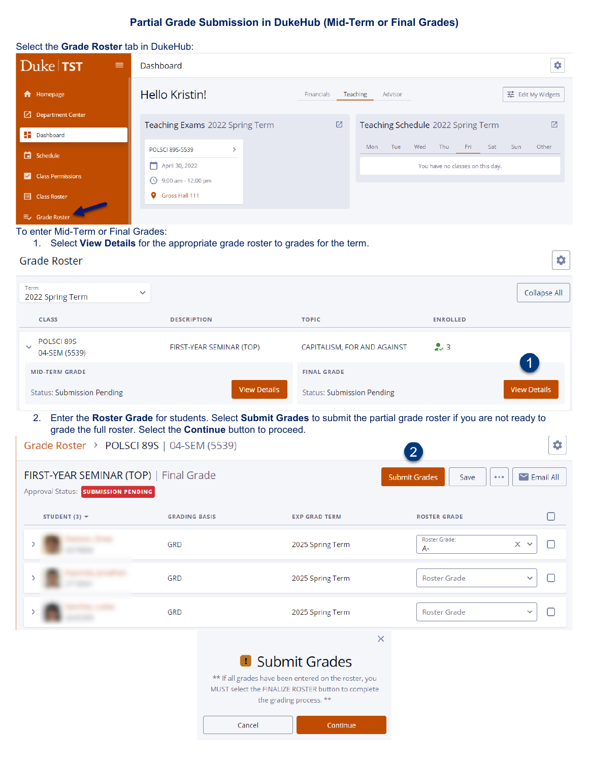# **Partial Grade Submission in DukeHub (Mid-Term or Final Grades)**

| Select the Grade Roster tab in DukeHub:                                       |                                                          |                                                         |
|-------------------------------------------------------------------------------|----------------------------------------------------------|---------------------------------------------------------|
| $Duke$ TST<br>$\equiv$                                                        | Dashboard                                                | ۰                                                       |
| <b>f</b> Homepage                                                             | Hello Kristin!                                           | 표는 Edit My Widgets<br>Financials<br>Teaching<br>Advisor |
| $\Box$ Department Center                                                      | Teaching Exams 2022 Spring Term                          | 囜<br>Teaching Schedule 2022 Spring Term<br>Ø            |
| $\blacksquare$ Dashboard                                                      |                                                          |                                                         |
| Schedule                                                                      | POLSCI 89S-5539<br>$\rightarrow$                         | Fri<br>Tue<br>Wed<br>Thu<br>Sat<br>Sun<br>Other<br>Mon  |
| <b>Class Permissions</b><br>$\overline{\mathbf{v}}$<br><b>ED</b> Class Roster | April 30, 2022<br>◯ 9:00 am - 12:00 pm<br>Gross Hall 111 | You have no classes on this day.                        |
| 三、 Grade Roster                                                               |                                                          |                                                         |

₿.

#### To enter Mid-Term or Final Grades:

1. Select **View Details** for the appropriate grade roster to grades for the term.

## **Grade Roster**

| Term:<br>$\checkmark$<br>2022 Spring Term                                     |                                                                                                                                                                                       |                                   |                                                     | Collapse All               |  |  |  |
|-------------------------------------------------------------------------------|---------------------------------------------------------------------------------------------------------------------------------------------------------------------------------------|-----------------------------------|-----------------------------------------------------|----------------------------|--|--|--|
| <b>CLASS</b>                                                                  | <b>DESCRIPTION</b>                                                                                                                                                                    | <b>TOPIC</b>                      | <b>ENROLLED</b>                                     |                            |  |  |  |
| POLSCI 89S<br>$\checkmark$<br>04-SEM (5539)                                   | FIRST-YEAR SEMINAR (TOP)                                                                                                                                                              | CAPITALISM, FOR AND AGAINST       | $\sim$ 3                                            |                            |  |  |  |
| <b>MID-TERM GRADE</b>                                                         |                                                                                                                                                                                       | <b>FINAL GRADE</b>                |                                                     |                            |  |  |  |
| <b>Status: Submission Pending</b>                                             | <b>View Details</b>                                                                                                                                                                   | <b>Status: Submission Pending</b> |                                                     | <b>View Details</b>        |  |  |  |
| 2.                                                                            | Enter the Roster Grade for students. Select Submit Grades to submit the partial grade roster if you are not ready to<br>grade the full roster. Select the Continue button to proceed. |                                   |                                                     |                            |  |  |  |
| Grade Roster > POLSCI 89S   04-SEM (5539)                                     |                                                                                                                                                                                       |                                   |                                                     | ۰                          |  |  |  |
| FIRST-YEAR SEMINAR (TOP)   Final Grade<br>Approval Status: SUBMISSION PENDING |                                                                                                                                                                                       |                                   | <b>Submit Grades</b><br>Save<br>$\bullet$ $\bullet$ | $\triangleright$ Email All |  |  |  |
| STUDENT (3) $\blacktriangledown$                                              | <b>GRADING BASIS</b>                                                                                                                                                                  | <b>EXP GRAD TERM</b>              | <b>ROSTER GRADE</b>                                 |                            |  |  |  |
|                                                                               | <b>GRD</b>                                                                                                                                                                            | 2025 Spring Term                  | Roster Grade:<br>А-                                 | $\times$ $\times$<br>ΓI    |  |  |  |
|                                                                               | <b>GRD</b>                                                                                                                                                                            | 2025 Spring Term                  | <b>Roster Grade</b>                                 |                            |  |  |  |
|                                                                               | <b>GRD</b>                                                                                                                                                                            | 2025 Spring Term                  | Roster Grade                                        | $\checkmark$<br>∩          |  |  |  |
|                                                                               |                                                                                                                                                                                       | $\times$                          |                                                     |                            |  |  |  |
|                                                                               | <b>D</b> Submit Grades                                                                                                                                                                |                                   |                                                     |                            |  |  |  |

\*\* If all grades have been entered on the roster, you MUST select the FINALIZE ROSTER button to complete the grading process. \*\*

```
Cancel
```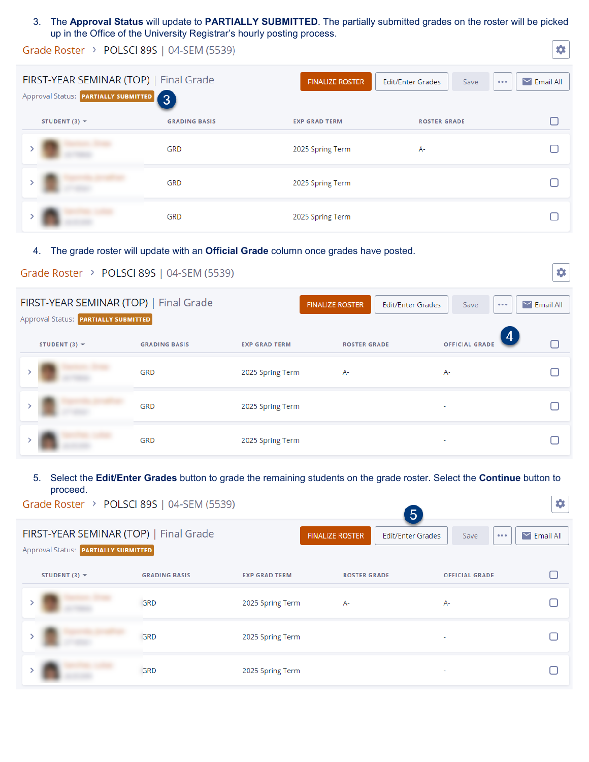## 3. The **Approval Status** will update to **PARTIALLY SUBMITTED**. The partially submitted grades on the roster will be picked up in the Office of the University Registrar's hourly posting process.

0

# Grade Roster > POLSCI 89S | 04-SEM (5539)

| FIRST-YEAR SEMINAR (TOP)   Final Grade<br>Approval Status: <b>PARTIALLY SUBMITTED</b> 3 |                      | <b>FINALIZE ROSTER</b> | Edit/Enter Grades<br>Save | $\triangleright$ Email All<br>0.0.0 |
|-----------------------------------------------------------------------------------------|----------------------|------------------------|---------------------------|-------------------------------------|
| STUDENT (3) $\blacktriangledown$                                                        | <b>GRADING BASIS</b> | <b>EXP GRAD TERM</b>   | <b>ROSTER GRADE</b>       |                                     |
|                                                                                         | <b>GRD</b>           | 2025 Spring Term       | A-                        |                                     |
|                                                                                         | <b>GRD</b>           | 2025 Spring Term       |                           |                                     |
|                                                                                         | GRD                  | 2025 Spring Term       |                           |                                     |

## 4. The grade roster will update with an **Official Grade** column once grades have posted.

| Grade Roster > POLSCI 89S   04-SEM (5539)                                      |                      |                      |                        |                                                             | ٥                               |
|--------------------------------------------------------------------------------|----------------------|----------------------|------------------------|-------------------------------------------------------------|---------------------------------|
| FIRST-YEAR SEMINAR (TOP)   Final Grade<br>Approval Status: PARTIALLY SUBMITTED |                      |                      | <b>FINALIZE ROSTER</b> | <b>Edit/Enter Grades</b><br>Save<br>$\bullet\bullet\bullet$ | $\blacktriangleright$ Email All |
| STUDENT (3) $\blacktriangledown$                                               | <b>GRADING BASIS</b> | <b>EXP GRAD TERM</b> | <b>ROSTER GRADE</b>    | 4<br><b>OFFICIAL GRADE</b>                                  |                                 |
|                                                                                | GRD                  | 2025 Spring Term     | A-                     | $A-$                                                        |                                 |
|                                                                                | GRD                  | 2025 Spring Term     |                        |                                                             |                                 |
|                                                                                | GRD                  | 2025 Spring Term     |                        |                                                             |                                 |

#### 5. Select the **Edit/Enter Grades** button to grade the remaining students on the grade roster. Select the **Continue** button to proceed.**Las** II DOLCCLOOC LOA CEMILEDON

| Grade Roster $\rightarrow$ POLSCI 89S   04-SEM (5539)                          |                      |                      | $\overline{5}$                                     |                                 | ₩                          |
|--------------------------------------------------------------------------------|----------------------|----------------------|----------------------------------------------------|---------------------------------|----------------------------|
| FIRST-YEAR SEMINAR (TOP)   Final Grade<br>Approval Status: PARTIALLY SUBMITTED |                      |                      | <b>FINALIZE ROSTER</b><br><b>Edit/Enter Grades</b> | Save<br>$\bullet\bullet\bullet$ | $\triangleright$ Email All |
| STUDENT (3) $\blacktriangledown$                                               | <b>GRADING BASIS</b> | <b>EXP GRAD TERM</b> | <b>ROSTER GRADE</b>                                | <b>OFFICIAL GRADE</b>           |                            |
|                                                                                | GRD                  | 2025 Spring Term     | Α-                                                 | A-                              |                            |
|                                                                                | GRD                  | 2025 Spring Term     |                                                    |                                 |                            |
|                                                                                | GRD                  | 2025 Spring Term     |                                                    |                                 |                            |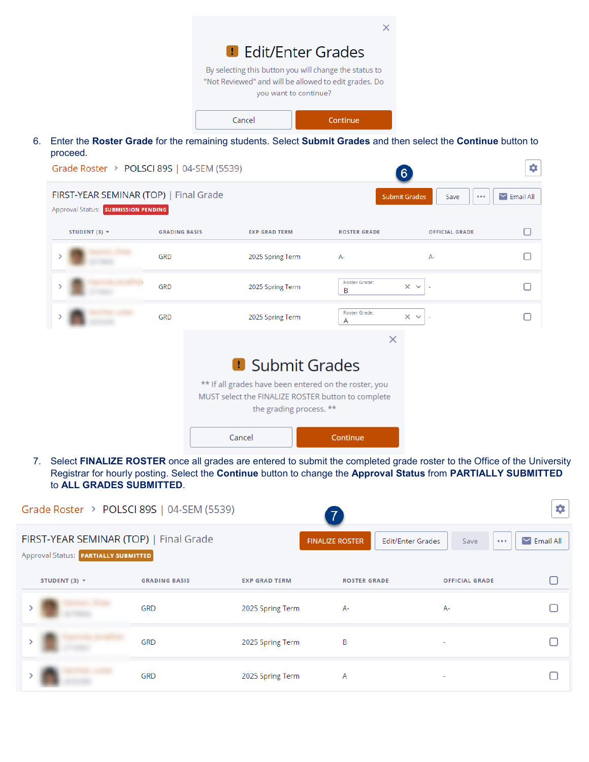

|  | <b>GRD</b> | 2025 Spring Term                                                                                                                                                 | A-                 | A-                |  |
|--|------------|------------------------------------------------------------------------------------------------------------------------------------------------------------------|--------------------|-------------------|--|
|  | <b>GRD</b> | 2025 Spring Term                                                                                                                                                 | Roster Grade:<br>B | $\times$ $\times$ |  |
|  | <b>GRD</b> | 2025 Spring Term                                                                                                                                                 | Roster Grade:<br>A | $\times$ $\times$ |  |
|  |            | <b>D</b> Submit Grades<br>** If all grades have been entered on the roster, you<br>MUST select the FINALIZE ROSTER button to complete<br>the grading process. ** |                    |                   |  |

7. Select **FINALIZE ROSTER** once all grades are entered to submit the completed grade roster to the Office of the University Registrar for hourly posting. Select the **Continue** button to change the **Approval Status** from **PARTIALLY SUBMITTED** to **ALL GRADES SUBMITTED**.

Continue

Cancel

|                                                                                | Grade Roster > POLSCI 89S   04-SEM (5539) |                      |                        |                                           | ۰                          |
|--------------------------------------------------------------------------------|-------------------------------------------|----------------------|------------------------|-------------------------------------------|----------------------------|
| FIRST-YEAR SEMINAR (TOP)   Final Grade<br>Approval Status: PARTIALLY SUBMITTED |                                           |                      | <b>FINALIZE ROSTER</b> | <b>Edit/Enter Grades</b><br>Save<br>0.0.0 | $\triangleright$ Email All |
| STUDENT (3) $\blacktriangledown$                                               | <b>GRADING BASIS</b>                      | <b>EXP GRAD TERM</b> | <b>ROSTER GRADE</b>    | <b>OFFICIAL GRADE</b>                     |                            |
|                                                                                | <b>GRD</b>                                | 2025 Spring Term     | А-                     | $A-$                                      |                            |
|                                                                                | GRD                                       | 2025 Spring Term     | В                      | ٠                                         |                            |
|                                                                                | <b>GRD</b>                                | 2025 Spring Term     | A                      | ٠                                         |                            |